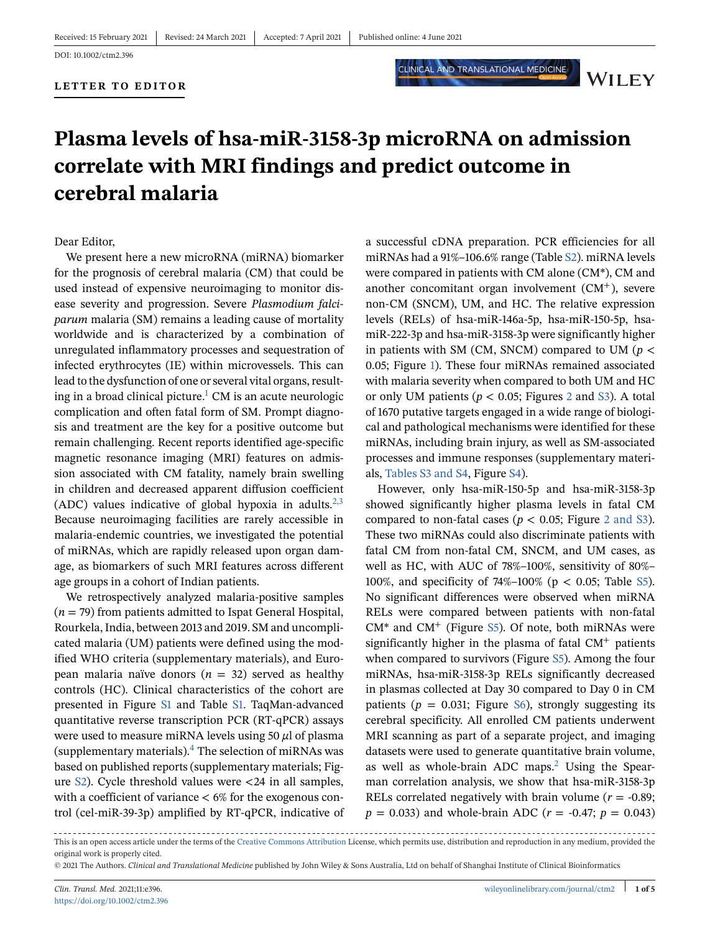DOI: 10.1002/ctm2.396

#### **LETTER TO EDITOR**



# **Plasma levels of hsa-miR-3158-3p microRNA on admission correlate with MRI findings and predict outcome in cerebral malaria**

#### Dear Editor,

We present here a new microRNA (miRNA) biomarker for the prognosis of cerebral malaria (CM) that could be used instead of expensive neuroimaging to monitor disease severity and progression. Severe *Plasmodium falciparum* malaria (SM) remains a leading cause of mortality worldwide and is characterized by a combination of unregulated inflammatory processes and sequestration of infected erythrocytes (IE) within microvessels. This can lead to the dysfunction of one or several vital organs, resulting in a broad clinical picture.<sup>1</sup> CM is an acute neurologic complication and often fatal form of SM. Prompt diagnosis and treatment are the key for a positive outcome but remain challenging. Recent reports identified age-specific magnetic resonance imaging (MRI) features on admission associated with CM fatality, namely brain swelling in children and decreased apparent diffusion coefficient (ADC) values indicative of global hypoxia in adults.<sup>[2,3](#page-4-0)</sup> Because neuroimaging facilities are rarely accessible in malaria-endemic countries, we investigated the potential of miRNAs, which are rapidly released upon organ damage, as biomarkers of such MRI features across different age groups in a cohort of Indian patients.

We retrospectively analyzed malaria-positive samples (*n* = 79) from patients admitted to Ispat General Hospital, Rourkela, India, between 2013 and 2019. SM and uncomplicated malaria (UM) patients were defined using the modified WHO criteria (supplementary materials), and European malaria naïve donors  $(n = 32)$  served as healthy controls (HC). Clinical characteristics of the cohort are presented in Figure S1 and Table S1. TaqMan-advanced quantitative reverse transcription PCR (RT-qPCR) assays were used to measure miRNA levels using 50 *μ*l of plasma (supplementary materials)[.4](#page-4-0) The selection of miRNAs was based on published reports (supplementary materials; Figure S2). Cycle threshold values were <24 in all samples, with a coefficient of variance  $\lt 6\%$  for the exogenous control (cel-miR-39-3p) amplified by RT-qPCR, indicative of a successful cDNA preparation. PCR efficiencies for all miRNAs had a 91%–106.6% range (Table S2). miRNA levels were compared in patients with CM alone (CM\*), CM and another concomitant organ involvement  $(CM<sup>+</sup>)$ , severe non-CM (SNCM), UM, and HC. The relative expression levels (RELs) of hsa-miR-146a-5p, hsa-miR-150-5p, hsamiR-222-3p and hsa-miR-3158-3p were significantly higher in patients with SM (CM, SNCM) compared to UM ( $p <$ 0.05; Figure [1\)](#page-1-0). These four miRNAs remained associated with malaria severity when compared to both UM and HC or only UM patients ( $p < 0.05$ ; Figures [2](#page-2-0) and S3). A total of 1670 putative targets engaged in a wide range of biological and pathological mechanisms were identified for these miRNAs, including brain injury, as well as SM-associated processes and immune responses (supplementary materials, Tables S3 and S4, Figure S4).

**CLINICAL AND TRANSLATIONAL MEDICINE** 

However, only hsa-miR-150-5p and hsa-miR-3158-3p showed significantly higher plasma levels in fatal CM compared to non-fatal cases ( $p < 0.05$ ; Figure [2](#page-2-0) and S3). These two miRNAs could also discriminate patients with fatal CM from non-fatal CM, SNCM, and UM cases, as well as HC, with AUC of 78%–100%, sensitivity of 80%– 100%, and specificity of 74%–100% (p < 0.05; Table S5). No significant differences were observed when miRNA RELs were compared between patients with non-fatal  $CM^*$  and  $CM^+$  (Figure S5). Of note, both miRNAs were significantly higher in the plasma of fatal  $CM<sup>+</sup>$  patients when compared to survivors (Figure S5). Among the four miRNAs, hsa-miR-3158-3p RELs significantly decreased in plasmas collected at Day 30 compared to Day 0 in CM patients ( $p = 0.031$ ; Figure S<sub>6</sub>), strongly suggesting its cerebral specificity. All enrolled CM patients underwent MRI scanning as part of a separate project, and imaging datasets were used to generate quantitative brain volume, as well as whole-brain ADC maps[.2](#page-4-0) Using the Spearman correlation analysis, we show that hsa-miR-3158-3p RELs correlated negatively with brain volume  $(r = -0.89)$ ;  $p = 0.033$ ) and whole-brain ADC ( $r = -0.47$ ;  $p = 0.043$ )

This is an open access article under the terms of the [Creative Commons Attribution](http://creativecommons.org/licenses/by/4.0/) License, which permits use, distribution and reproduction in any medium, provided the original work is properly cited.

<sup>© 2021</sup> The Authors. *Clinical and Translational Medicine* published by John Wiley & Sons Australia, Ltd on behalf of Shanghai Institute of Clinical Bioinformatics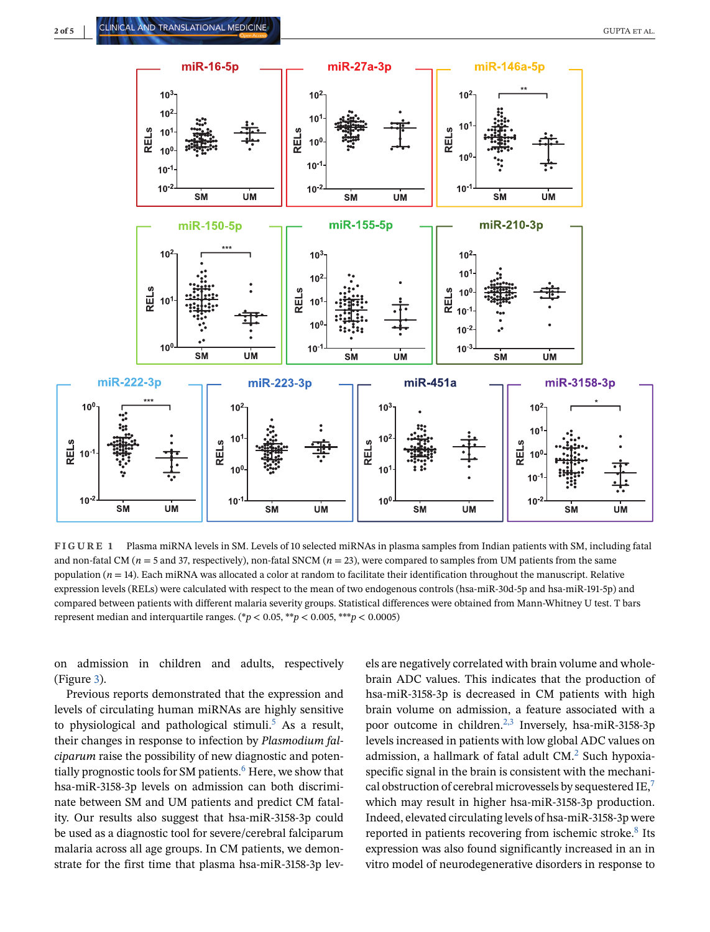<span id="page-1-0"></span>

**FIGURE 1** Plasma miRNA levels in SM. Levels of 10 selected miRNAs in plasma samples from Indian patients with SM, including fatal and non-fatal CM ( $n = 5$  and 37, respectively), non-fatal SNCM ( $n = 23$ ), were compared to samples from UM patients from the same population  $(n = 14)$ . Each miRNA was allocated a color at random to facilitate their identification throughout the manuscript. Relative expression levels (RELs) were calculated with respect to the mean of two endogenous controls (hsa-miR-30d-5p and hsa-miR-191-5p) and compared between patients with different malaria severity groups. Statistical differences were obtained from Mann-Whitney U test. T bars represent median and interquartile ranges. (\* $p < 0.05$ , \*\* $p < 0.005$ , \*\*\* $p < 0.0005$ )

on admission in children and adults, respectively (Figure [3\)](#page-2-0).

Previous reports demonstrated that the expression and levels of circulating human miRNAs are highly sensitive to physiological and pathological stimuli.<sup>[5](#page-4-0)</sup> As a result, their changes in response to infection by *Plasmodium falciparum* raise the possibility of new diagnostic and poten-tially prognostic tools for SM patients.<sup>[6](#page-4-0)</sup> Here, we show that hsa-miR-3158-3p levels on admission can both discriminate between SM and UM patients and predict CM fatality. Our results also suggest that hsa-miR-3158-3p could be used as a diagnostic tool for severe/cerebral falciparum malaria across all age groups. In CM patients, we demonstrate for the first time that plasma hsa-miR-3158-3p levels are negatively correlated with brain volume and wholebrain ADC values. This indicates that the production of hsa-miR-3158-3p is decreased in CM patients with high brain volume on admission, a feature associated with a poor outcome in children[.2,3](#page-4-0) Inversely, hsa-miR-3158-3p levels increased in patients with low global ADC values on admission, a hallmark of fatal adult  $CM<sup>2</sup>$  Such hypoxiaspecific signal in the brain is consistent with the mechanical obstruction of cerebral microvessels by sequestered  $IE$ ,<sup>7</sup> which may result in higher hsa-miR-3158-3p production. Indeed, elevated circulating levels of hsa-miR-3158-3p were reported in patients recovering from ischemic stroke.<sup>[8](#page-4-0)</sup> Its expression was also found significantly increased in an in vitro model of neurodegenerative disorders in response to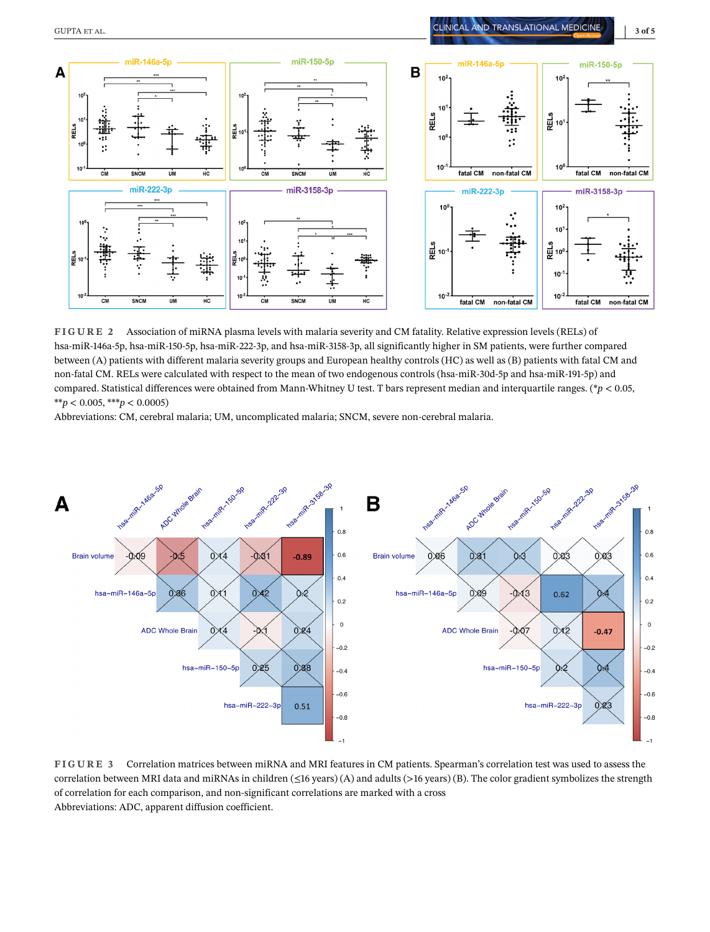<span id="page-2-0"></span>

**FIGURE 2** Association of miRNA plasma levels with malaria severity and CM fatality. Relative expression levels (RELs) of hsa-miR-146a-5p, hsa-miR-150-5p, hsa-miR-222-3p, and hsa-miR-3158-3p, all significantly higher in SM patients, were further compared between (A) patients with different malaria severity groups and European healthy controls (HC) as well as (B) patients with fatal CM and non-fatal CM. RELs were calculated with respect to the mean of two endogenous controls (hsa-miR-30d-5p and hsa-miR-191-5p) and compared. Statistical differences were obtained from Mann-Whitney U test. T bars represent median and interquartile ranges. (\**p* < 0.05, \*\**p* < 0.005, \*\*\**p* < 0.0005)

Abbreviations: CM, cerebral malaria; UM, uncomplicated malaria; SNCM, severe non-cerebral malaria.



**FIGURE 3** Correlation matrices between miRNA and MRI features in CM patients. Spearman's correlation test was used to assess the correlation between MRI data and miRNAs in children (≤16 years) (A) and adults (>16 years) (B). The color gradient symbolizes the strength of correlation for each comparison, and non-significant correlations are marked with a cross Abbreviations: ADC, apparent diffusion coefficient.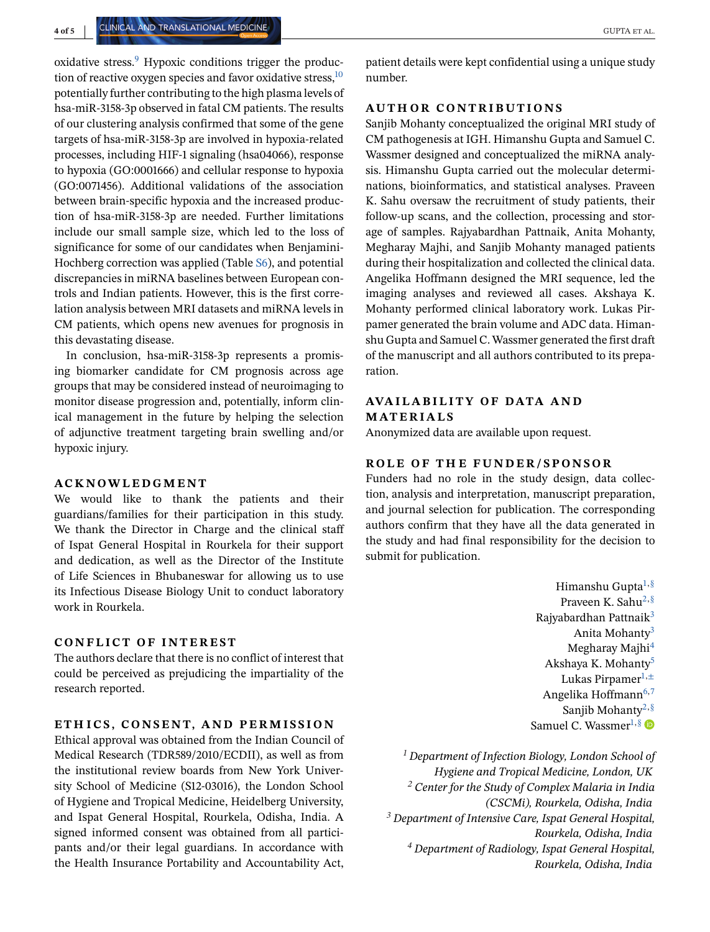oxidative stress. $9$  Hypoxic conditions trigger the production of reactive oxygen species and favor oxidative stress,  $10$ potentially further contributing to the high plasma levels of hsa-miR-3158-3p observed in fatal CM patients. The results of our clustering analysis confirmed that some of the gene targets of hsa-miR-3158-3p are involved in hypoxia-related processes, including HIF-1 signaling (hsa04066), response to hypoxia (GO:0001666) and cellular response to hypoxia (GO:0071456). Additional validations of the association between brain-specific hypoxia and the increased production of hsa-miR-3158-3p are needed. Further limitations include our small sample size, which led to the loss of significance for some of our candidates when Benjamini-Hochberg correction was applied (Table S6), and potential discrepancies in miRNA baselines between European controls and Indian patients. However, this is the first correlation analysis between MRI datasets and miRNA levels in CM patients, which opens new avenues for prognosis in this devastating disease.

In conclusion, hsa-miR-3158-3p represents a promising biomarker candidate for CM prognosis across age groups that may be considered instead of neuroimaging to monitor disease progression and, potentially, inform clinical management in the future by helping the selection of adjunctive treatment targeting brain swelling and/or hypoxic injury.

# **ACKNOWLEDGMENT**

We would like to thank the patients and their guardians/families for their participation in this study. We thank the Director in Charge and the clinical staff of Ispat General Hospital in Rourkela for their support and dedication, as well as the Director of the Institute of Life Sciences in Bhubaneswar for allowing us to use its Infectious Disease Biology Unit to conduct laboratory work in Rourkela.

# **CONFLICT OF INTEREST**

The authors declare that there is no conflict of interest that could be perceived as prejudicing the impartiality of the research reported.

## **ETH ICS, CONSENT, AND PERMISSION**

Ethical approval was obtained from the Indian Council of Medical Research (TDR589/2010/ECDII), as well as from the institutional review boards from New York University School of Medicine (S12-03016), the London School of Hygiene and Tropical Medicine, Heidelberg University, and Ispat General Hospital, Rourkela, Odisha, India. A signed informed consent was obtained from all participants and/or their legal guardians. In accordance with the Health Insurance Portability and Accountability Act,

patient details were kept confidential using a unique study number.

## **AUTHOR CONTRIBUTIONS**

Sanjib Mohanty conceptualized the original MRI study of CM pathogenesis at IGH. Himanshu Gupta and Samuel C. Wassmer designed and conceptualized the miRNA analysis. Himanshu Gupta carried out the molecular determinations, bioinformatics, and statistical analyses. Praveen K. Sahu oversaw the recruitment of study patients, their follow-up scans, and the collection, processing and storage of samples. Rajyabardhan Pattnaik, Anita Mohanty, Megharay Majhi, and Sanjib Mohanty managed patients during their hospitalization and collected the clinical data. Angelika Hoffmann designed the MRI sequence, led the imaging analyses and reviewed all cases. Akshaya K. Mohanty performed clinical laboratory work. Lukas Pirpamer generated the brain volume and ADC data. Himanshu Gupta and Samuel C. Wassmer generated the first draft of the manuscript and all authors contributed to its preparation.

# **AVA ILAB IL ITY OF DATA AND MATERIALS**

Anonymized data are available upon request.

## **ROLE OF THE FUNDER/SPONSOR**

Funders had no role in the study design, data collection, analysis and interpretation, manuscript preparation, and journal selection for publication. The corresponding authors confirm that they have all the data generated in the study and had final responsibility for the decision to submit for publication.

> Himanshu Gupta $1,\S$ Praveen K. Sahu<sup>2[,§](#page-4-0)</sup> Rajyabardhan Pattnaik<sup>3</sup> Anita Mohanty3 Megharay Majhi<sup>4</sup> Akshaya K. Mohanty<sup>5</sup> Lukas Pirpamer $1, \pm$ Angelika Hoffmann $6,7$ Sanjib Mohanty<sup>2, §</sup> Samuel C. Wassmer<sup>1[,§](#page-4-0)</sup>  $\bullet$

*<sup>1</sup> Department of Infection Biology, London School of Hygiene and Tropical Medicine, London, UK <sup>2</sup> Center for the Study of Complex Malaria in India (CSCMi), Rourkela, Odisha, India <sup>3</sup> Department of Intensive Care, Ispat General Hospital, Rourkela, Odisha, India <sup>4</sup> Department of Radiology, Ispat General Hospital, Rourkela, Odisha, India*